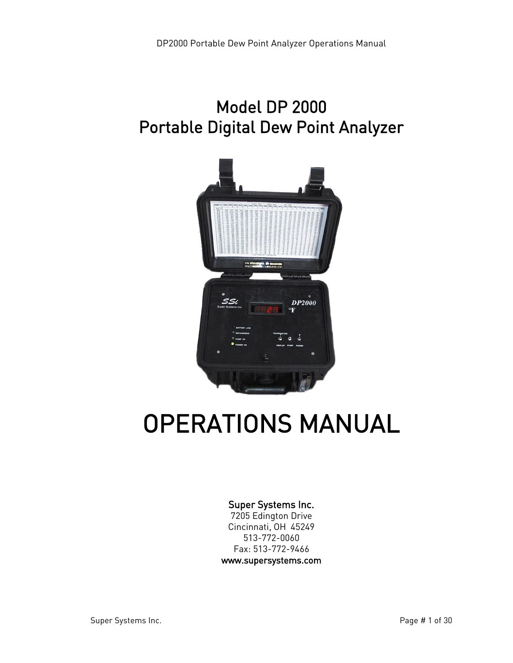# Model DP 2000 Portable Digital Dew Point Analyzer



# OPERATIONS MANUAL

#### Super Systems Inc.

7205 Edington Drive Cincinnati, OH 45249 513-772-0060 Fax: 513-772-9466 www.supersystems.com

Super Systems Inc. The state of the Super Systems Inc.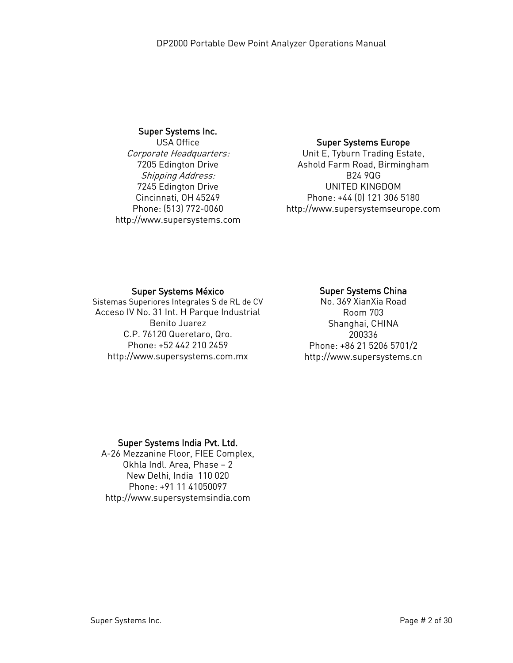#### Super Systems Inc.

USA Office Corporate Headquarters: 7205 Edington Drive Shipping Address: 7245 Edington Drive Cincinnati, OH 45249 Phone: (513) 772-0060 http://www.supersystems.com

#### Super Systems Europe

Unit E, Tyburn Trading Estate, Ashold Farm Road, Birmingham B24 9QG UNITED KINGDOM Phone: +44 (0) 121 306 5180 http://www.supersystemseurope.com

#### Super Systems México

Sistemas Superiores Integrales S de RL de CV Acceso IV No. 31 Int. H Parque Industrial Benito Juarez C.P. 76120 Queretaro, Qro. Phone: +52 442 210 2459 http://www.supersystems.com.mx

#### Super Systems China

No. 369 XianXia Road Room 703 Shanghai, CHINA 200336 Phone: +86 21 5206 5701/2 http://www.supersystems.cn

#### Super Systems India Pvt. Ltd.

A-26 Mezzanine Floor, FIEE Complex, Okhla Indl. Area, Phase – 2 New Delhi, India 110 020 Phone: +91 11 41050097 http://www.supersystemsindia.com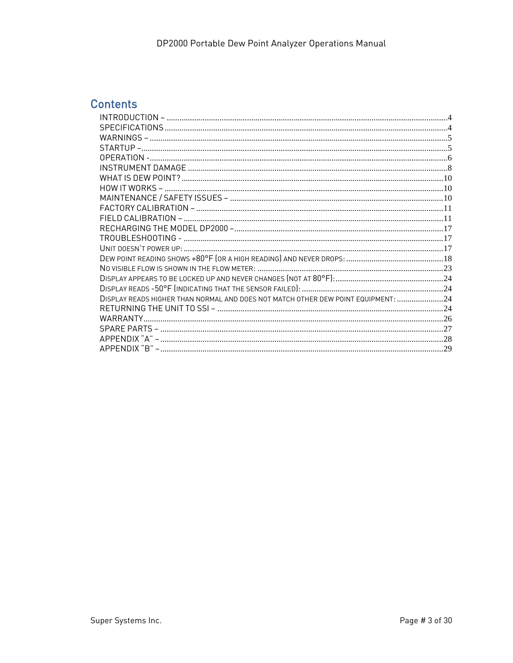# **Contents**

| DISPLAY READS HIGHER THAN NORMAL AND DOES NOT MATCH OTHER DEW POINT EQUIPMENT:  24 |  |
|------------------------------------------------------------------------------------|--|
|                                                                                    |  |
| WARRANTY                                                                           |  |
|                                                                                    |  |
|                                                                                    |  |
|                                                                                    |  |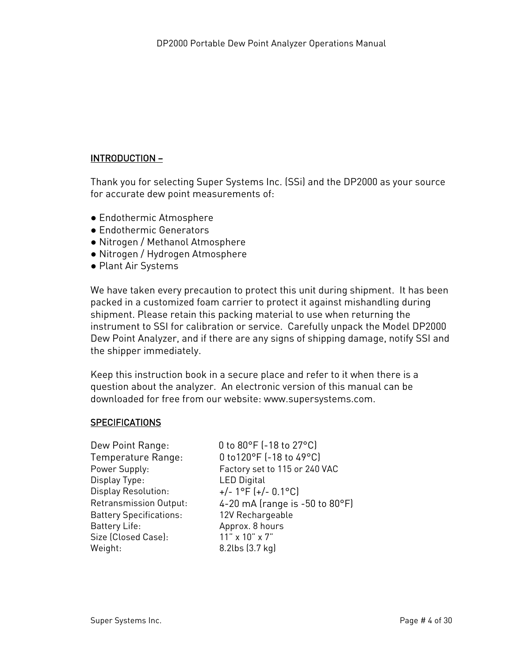# <span id="page-3-0"></span>INTRODUCTION –

Thank you for selecting Super Systems Inc. (SSi) and the DP2000 as your source for accurate dew point measurements of:

- Endothermic Atmosphere
- Endothermic Generators
- Nitrogen / Methanol Atmosphere
- Nitrogen / Hydrogen Atmosphere
- Plant Air Systems

We have taken every precaution to protect this unit during shipment. It has been packed in a customized foam carrier to protect it against mishandling during shipment. Please retain this packing material to use when returning the instrument to SSI for calibration or service. Carefully unpack the Model DP2000 Dew Point Analyzer, and if there are any signs of shipping damage, notify SSI and the shipper immediately.

Keep this instruction book in a secure place and refer to it when there is a question about the analyzer. An electronic version of this manual can be downloaded for free from our website: www.supersystems.com.

#### <span id="page-3-1"></span>SPECIFICATIONS

| Dew Point Range:<br>Temperature Range:<br>Power Supply: | 0 to 80°F (-18 to 27°C)<br>0 to120°F (-18 to 49°C)<br>Factory set to 115 or 240 VAC |
|---------------------------------------------------------|-------------------------------------------------------------------------------------|
| Display Type:<br>Display Resolution:                    | <b>LED Digital</b><br>$+/- 1$ °F (+/- 0.1°C)                                        |
| Retransmission Output:                                  | 4-20 mA (range is -50 to 80°F)                                                      |
| <b>Battery Specifications:</b>                          | 12V Rechargeable                                                                    |
| Battery Life:                                           | Approx. 8 hours                                                                     |
|                                                         |                                                                                     |
| Size (Closed Case):                                     | 11" x 10" x 7"                                                                      |
| Weight:                                                 | 8.2lbs (3.7 kg)                                                                     |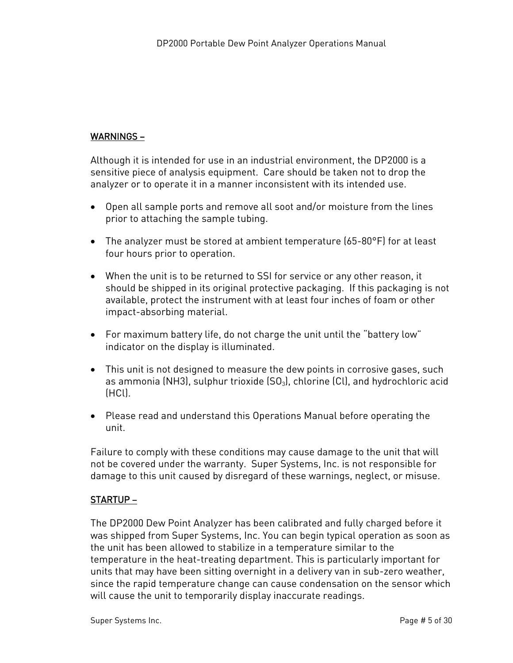# <span id="page-4-0"></span>WARNINGS –

Although it is intended for use in an industrial environment, the DP2000 is a sensitive piece of analysis equipment. Care should be taken not to drop the analyzer or to operate it in a manner inconsistent with its intended use.

- Open all sample ports and remove all soot and/or moisture from the lines prior to attaching the sample tubing.
- The analyzer must be stored at ambient temperature (65-80°F) for at least four hours prior to operation.
- When the unit is to be returned to SSI for service or any other reason, it should be shipped in its original protective packaging. If this packaging is not available, protect the instrument with at least four inches of foam or other impact-absorbing material.
- For maximum battery life, do not charge the unit until the "battery low" indicator on the display is illuminated.
- This unit is not designed to measure the dew points in corrosive gases, such as ammonia (NH3), sulphur trioxide  $(SO_3)$ , chlorine  $(Cl)$ , and hydrochloric acid (HCl).
- Please read and understand this Operations Manual before operating the unit.

Failure to comply with these conditions may cause damage to the unit that will not be covered under the warranty. Super Systems, Inc. is not responsible for damage to this unit caused by disregard of these warnings, neglect, or misuse.

# <span id="page-4-1"></span>STARTUP –

The DP2000 Dew Point Analyzer has been calibrated and fully charged before it was shipped from Super Systems, Inc. You can begin typical operation as soon as the unit has been allowed to stabilize in a temperature similar to the temperature in the heat-treating department. This is particularly important for units that may have been sitting overnight in a delivery van in sub-zero weather, since the rapid temperature change can cause condensation on the sensor which will cause the unit to temporarily display inaccurate readings.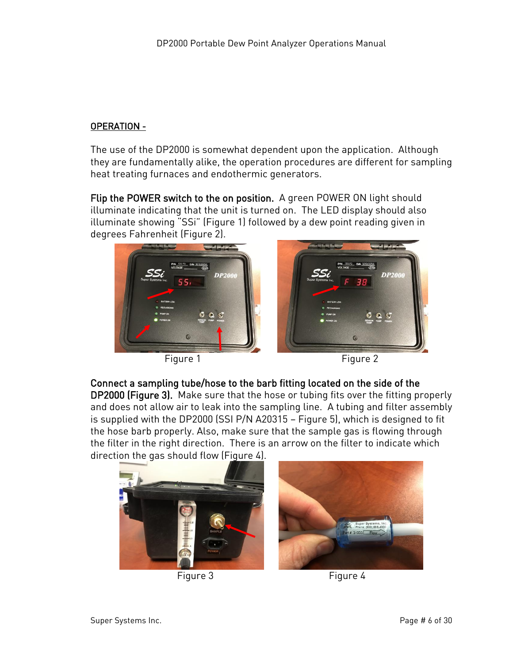# <span id="page-5-0"></span>OPERATION -

The use of the DP2000 is somewhat dependent upon the application. Although they are fundamentally alike, the operation procedures are different for sampling heat treating furnaces and endothermic generators.

Flip the POWER switch to the on position. A green POWER ON light should illuminate indicating that the unit is turned on. The LED display should also illuminate showing "SSi" (Figure 1) followed by a dew point reading given in degrees Fahrenheit (Figure 2).





Connect a sampling tube/hose to the barb fitting located on the side of the

DP2000 (Figure 3). Make sure that the hose or tubing fits over the fitting properly and does not allow air to leak into the sampling line. A tubing and filter assembly is supplied with the DP2000 (SSI P/N A20315 – Figure 5), which is designed to fit the hose barb properly. Also, make sure that the sample gas is flowing through the filter in the right direction. There is an arrow on the filter to indicate which direction the gas should flow (Figure 4).





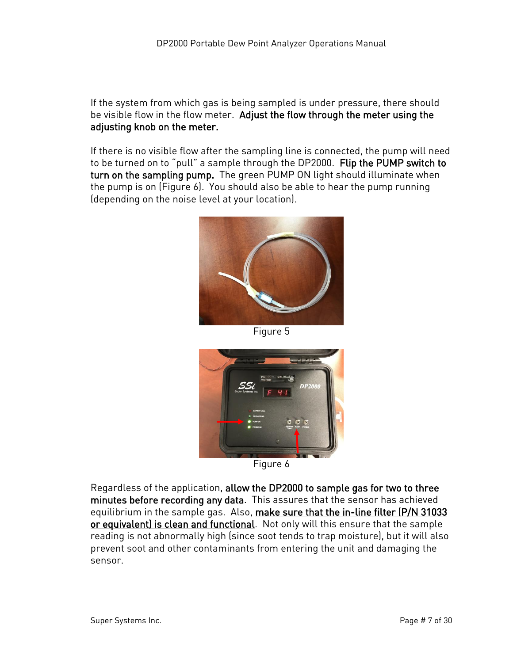If the system from which gas is being sampled is under pressure, there should be visible flow in the flow meter. Adjust the flow through the meter using the adjusting knob on the meter.

If there is no visible flow after the sampling line is connected, the pump will need to be turned on to "pull" a sample through the DP2000. Flip the PUMP switch to turn on the sampling pump. The green PUMP ON light should illuminate when the pump is on (Figure 6). You should also be able to hear the pump running (depending on the noise level at your location).



Figure 5



Figure 6

Regardless of the application, allow the DP2000 to sample gas for two to three minutes before recording any data. This assures that the sensor has achieved equilibrium in the sample gas. Also, make sure that the in-line filter (P/N 31033 or equivalent) is clean and functional. Not only will this ensure that the sample reading is not abnormally high (since soot tends to trap moisture), but it will also prevent soot and other contaminants from entering the unit and damaging the sensor.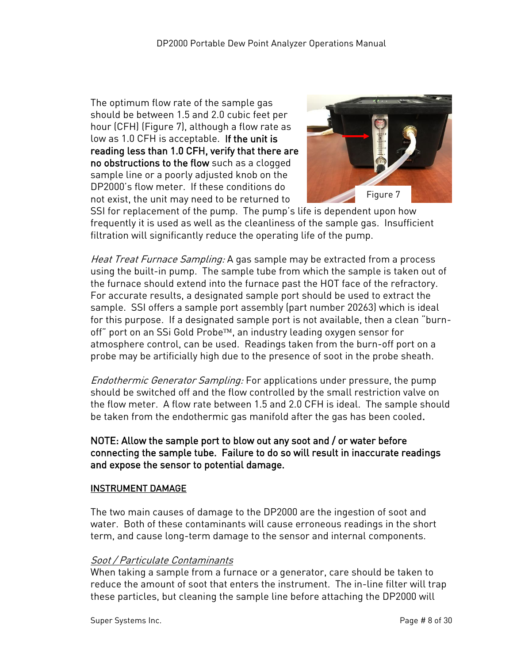The optimum flow rate of the sample gas should be between 1.5 and 2.0 cubic feet per hour (CFH) (Figure 7), although a flow rate as low as 1.0 CFH is acceptable. If the unit is reading less than 1.0 CFH, verify that there are no obstructions to the flow such as a clogged sample line or a poorly adjusted knob on the DP2000's flow meter. If these conditions do not exist, the unit may need to be returned to



SSI for replacement of the pump. The pump's life is dependent upon how frequently it is used as well as the cleanliness of the sample gas. Insufficient filtration will significantly reduce the operating life of the pump.

Heat Treat Furnace Sampling: A gas sample may be extracted from a process using the built-in pump. The sample tube from which the sample is taken out of the furnace should extend into the furnace past the HOT face of the refractory. For accurate results, a designated sample port should be used to extract the sample. SSI offers a sample port assembly (part number 20263) which is ideal for this purpose. If a designated sample port is not available, then a clean "burnoff" port on an SSi Gold Probe™, an industry leading oxygen sensor for atmosphere control, can be used. Readings taken from the burn-off port on a probe may be artificially high due to the presence of soot in the probe sheath.

Endothermic Generator Sampling: For applications under pressure, the pump should be switched off and the flow controlled by the small restriction valve on the flow meter. A flow rate between 1.5 and 2.0 CFH is ideal. The sample should be taken from the endothermic gas manifold after the gas has been cooled.

#### NOTE: Allow the sample port to blow out any soot and / or water before connecting the sample tube. Failure to do so will result in inaccurate readings and expose the sensor to potential damage.

#### <span id="page-7-0"></span>INSTRUMENT DAMAGE

The two main causes of damage to the DP2000 are the ingestion of soot and water. Both of these contaminants will cause erroneous readings in the short term, and cause long-term damage to the sensor and internal components.

#### Soot / Particulate Contaminants

When taking a sample from a furnace or a generator, care should be taken to reduce the amount of soot that enters the instrument. The in-line filter will trap these particles, but cleaning the sample line before attaching the DP2000 will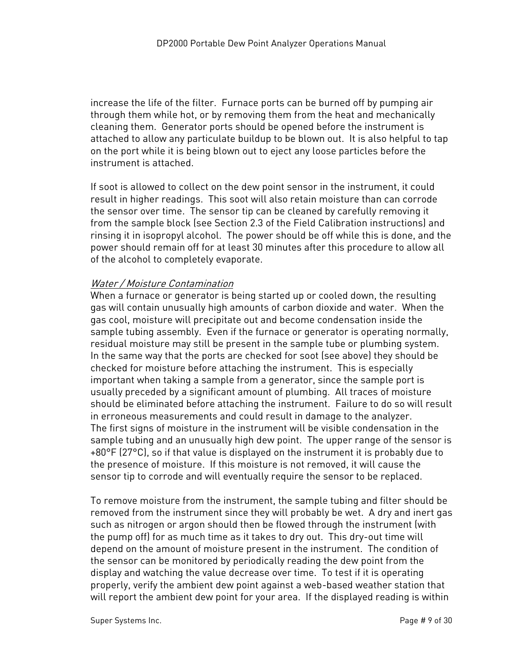increase the life of the filter. Furnace ports can be burned off by pumping air through them while hot, or by removing them from the heat and mechanically cleaning them. Generator ports should be opened before the instrument is attached to allow any particulate buildup to be blown out. It is also helpful to tap on the port while it is being blown out to eject any loose particles before the instrument is attached.

If soot is allowed to collect on the dew point sensor in the instrument, it could result in higher readings. This soot will also retain moisture than can corrode the sensor over time. The sensor tip can be cleaned by carefully removing it from the sample block (see Section 2.3 of the Field Calibration instructions) and rinsing it in isopropyl alcohol. The power should be off while this is done, and the power should remain off for at least 30 minutes after this procedure to allow all of the alcohol to completely evaporate.

#### Water / Moisture Contamination

When a furnace or generator is being started up or cooled down, the resulting gas will contain unusually high amounts of carbon dioxide and water. When the gas cool, moisture will precipitate out and become condensation inside the sample tubing assembly. Even if the furnace or generator is operating normally, residual moisture may still be present in the sample tube or plumbing system. In the same way that the ports are checked for soot (see above) they should be checked for moisture before attaching the instrument. This is especially important when taking a sample from a generator, since the sample port is usually preceded by a significant amount of plumbing. All traces of moisture should be eliminated before attaching the instrument. Failure to do so will result in erroneous measurements and could result in damage to the analyzer. The first signs of moisture in the instrument will be visible condensation in the sample tubing and an unusually high dew point. The upper range of the sensor is +80°F (27°C), so if that value is displayed on the instrument it is probably due to the presence of moisture. If this moisture is not removed, it will cause the sensor tip to corrode and will eventually require the sensor to be replaced.

To remove moisture from the instrument, the sample tubing and filter should be removed from the instrument since they will probably be wet. A dry and inert gas such as nitrogen or argon should then be flowed through the instrument (with the pump off) for as much time as it takes to dry out. This dry-out time will depend on the amount of moisture present in the instrument. The condition of the sensor can be monitored by periodically reading the dew point from the display and watching the value decrease over time. To test if it is operating properly, verify the ambient dew point against a web-based weather station that will report the ambient dew point for your area. If the displayed reading is within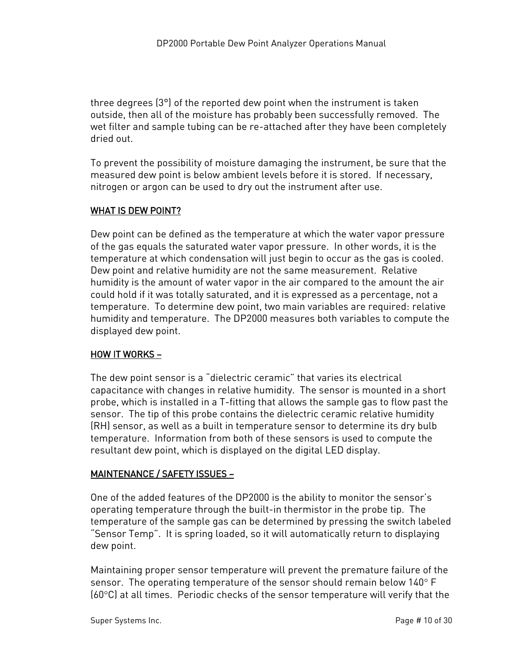three degrees (3°) of the reported dew point when the instrument is taken outside, then all of the moisture has probably been successfully removed. The wet filter and sample tubing can be re-attached after they have been completely dried out.

To prevent the possibility of moisture damaging the instrument, be sure that the measured dew point is below ambient levels before it is stored. If necessary, nitrogen or argon can be used to dry out the instrument after use.

#### <span id="page-9-0"></span>WHAT IS DEW POINT?

Dew point can be defined as the temperature at which the water vapor pressure of the gas equals the saturated water vapor pressure. In other words, it is the temperature at which condensation will just begin to occur as the gas is cooled. Dew point and relative humidity are not the same measurement. Relative humidity is the amount of water vapor in the air compared to the amount the air could hold if it was totally saturated, and it is expressed as a percentage, not a temperature. To determine dew point, two main variables are required: relative humidity and temperature. The DP2000 measures both variables to compute the displayed dew point.

#### <span id="page-9-1"></span>HOW IT WORKS –

The dew point sensor is a "dielectric ceramic" that varies its electrical capacitance with changes in relative humidity. The sensor is mounted in a short probe, which is installed in a T-fitting that allows the sample gas to flow past the sensor. The tip of this probe contains the dielectric ceramic relative humidity (RH) sensor, as well as a built in temperature sensor to determine its dry bulb temperature. Information from both of these sensors is used to compute the resultant dew point, which is displayed on the digital LED display.

#### <span id="page-9-2"></span>MAINTENANCE / SAFETY ISSUES –

One of the added features of the DP2000 is the ability to monitor the sensor's operating temperature through the built-in thermistor in the probe tip. The temperature of the sample gas can be determined by pressing the switch labeled "Sensor Temp". It is spring loaded, so it will automatically return to displaying dew point.

Maintaining proper sensor temperature will prevent the premature failure of the sensor. The operating temperature of the sensor should remain below  $140^\circ$  F (60C) at all times. Periodic checks of the sensor temperature will verify that the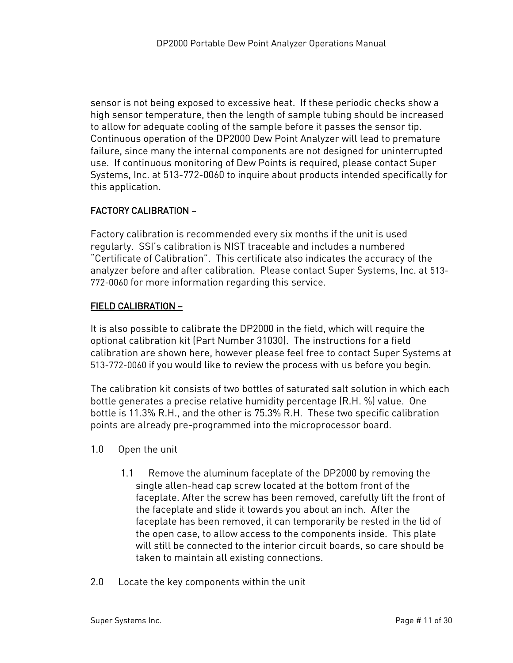sensor is not being exposed to excessive heat. If these periodic checks show a high sensor temperature, then the length of sample tubing should be increased to allow for adequate cooling of the sample before it passes the sensor tip. Continuous operation of the DP2000 Dew Point Analyzer will lead to premature failure, since many the internal components are not designed for uninterrupted use. If continuous monitoring of Dew Points is required, please contact Super Systems, Inc. at 513-772-0060 to inquire about products intended specifically for this application.

#### <span id="page-10-0"></span>FACTORY CALIBRATION –

Factory calibration is recommended every six months if the unit is used regularly. SSI's calibration is NIST traceable and includes a numbered "Certificate of Calibration". This certificate also indicates the accuracy of the analyzer before and after calibration. Please contact Super Systems, Inc. at 513- 772-0060 for more information regarding this service.

#### <span id="page-10-1"></span>FIELD CALIBRATION –

It is also possible to calibrate the DP2000 in the field, which will require the optional calibration kit (Part Number 31030). The instructions for a field calibration are shown here, however please feel free to contact Super Systems at 513-772-0060 if you would like to review the process with us before you begin.

The calibration kit consists of two bottles of saturated salt solution in which each bottle generates a precise relative humidity percentage (R.H. %) value. One bottle is 11.3% R.H., and the other is 75.3% R.H. These two specific calibration points are already pre-programmed into the microprocessor board.

- 1.0 Open the unit
	- 1.1 Remove the aluminum faceplate of the DP2000 by removing the single allen-head cap screw located at the bottom front of the faceplate. After the screw has been removed, carefully lift the front of the faceplate and slide it towards you about an inch. After the faceplate has been removed, it can temporarily be rested in the lid of the open case, to allow access to the components inside. This plate will still be connected to the interior circuit boards, so care should be taken to maintain all existing connections.
- 2.0 Locate the key components within the unit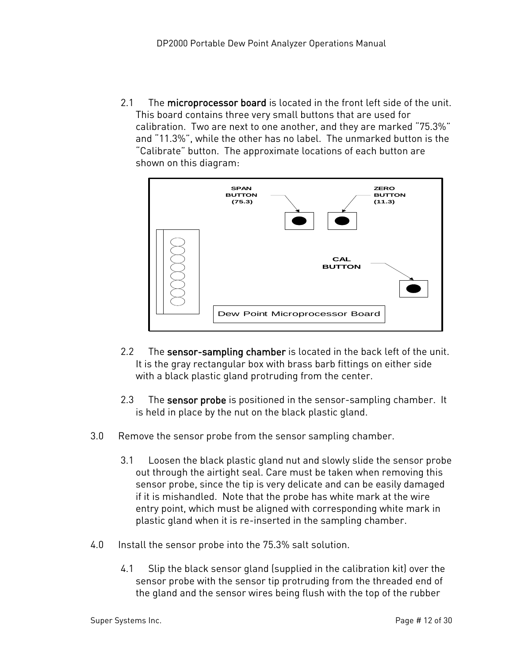2.1 The microprocessor board is located in the front left side of the unit. This board contains three very small buttons that are used for calibration. Two are next to one another, and they are marked "75.3%" and "11.3%", while the other has no label. The unmarked button is the "Calibrate" button. The approximate locations of each button are shown on this diagram:



- 2.2 The sensor-sampling chamber is located in the back left of the unit. It is the gray rectangular box with brass barb fittings on either side with a black plastic gland protruding from the center.
- 2.3 The **sensor probe** is positioned in the sensor-sampling chamber. It is held in place by the nut on the black plastic gland.
- 3.0 Remove the sensor probe from the sensor sampling chamber.
	- 3.1 Loosen the black plastic gland nut and slowly slide the sensor probe out through the airtight seal. Care must be taken when removing this sensor probe, since the tip is very delicate and can be easily damaged if it is mishandled. Note that the probe has white mark at the wire entry point, which must be aligned with corresponding white mark in plastic gland when it is re-inserted in the sampling chamber.
- 4.0 Install the sensor probe into the 75.3% salt solution.
	- 4.1 Slip the black sensor gland (supplied in the calibration kit) over the sensor probe with the sensor tip protruding from the threaded end of the gland and the sensor wires being flush with the top of the rubber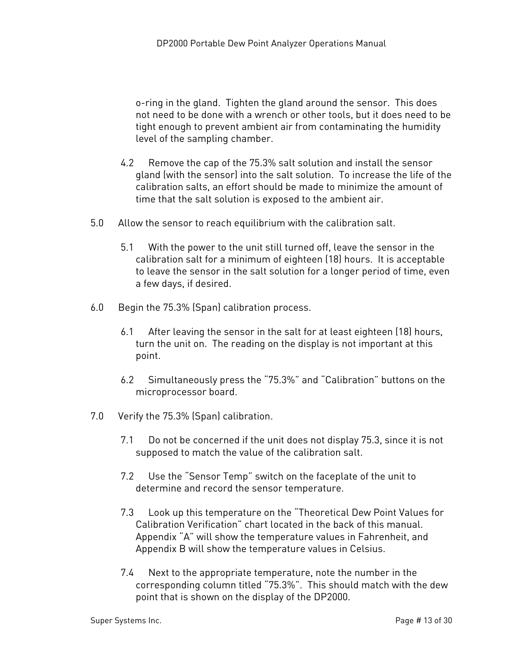o-ring in the gland. Tighten the gland around the sensor. This does not need to be done with a wrench or other tools, but it does need to be tight enough to prevent ambient air from contaminating the humidity level of the sampling chamber.

- 4.2 Remove the cap of the 75.3% salt solution and install the sensor gland (with the sensor) into the salt solution. To increase the life of the calibration salts, an effort should be made to minimize the amount of time that the salt solution is exposed to the ambient air.
- 5.0 Allow the sensor to reach equilibrium with the calibration salt.
	- 5.1 With the power to the unit still turned off, leave the sensor in the calibration salt for a minimum of eighteen (18) hours. It is acceptable to leave the sensor in the salt solution for a longer period of time, even a few days, if desired.
- 6.0 Begin the 75.3% (Span) calibration process.
	- 6.1 After leaving the sensor in the salt for at least eighteen (18) hours, turn the unit on. The reading on the display is not important at this point.
	- 6.2 Simultaneously press the "75.3%" and "Calibration" buttons on the microprocessor board.
- 7.0 Verify the 75.3% (Span) calibration.
	- 7.1 Do not be concerned if the unit does not display 75.3, since it is not supposed to match the value of the calibration salt.
	- 7.2 Use the "Sensor Temp" switch on the faceplate of the unit to determine and record the sensor temperature.
	- 7.3 Look up this temperature on the "Theoretical Dew Point Values for Calibration Verification" chart located in the back of this manual. Appendix "A" will show the temperature values in Fahrenheit, and Appendix B will show the temperature values in Celsius.
	- 7.4 Next to the appropriate temperature, note the number in the corresponding column titled "75.3%". This should match with the dew point that is shown on the display of the DP2000.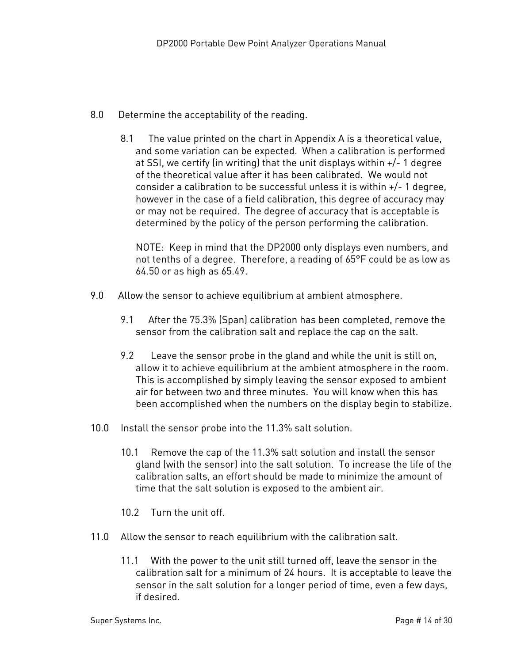- 8.0 Determine the acceptability of the reading.
	- 8.1 The value printed on the chart in Appendix A is a theoretical value, and some variation can be expected. When a calibration is performed at SSI, we certify (in writing) that the unit displays within +/- 1 degree of the theoretical value after it has been calibrated. We would not consider a calibration to be successful unless it is within +/- 1 degree, however in the case of a field calibration, this degree of accuracy may or may not be required. The degree of accuracy that is acceptable is determined by the policy of the person performing the calibration.

NOTE: Keep in mind that the DP2000 only displays even numbers, and not tenths of a degree. Therefore, a reading of 65°F could be as low as 64.50 or as high as 65.49.

- 9.0 Allow the sensor to achieve equilibrium at ambient atmosphere.
	- 9.1 After the 75.3% (Span) calibration has been completed, remove the sensor from the calibration salt and replace the cap on the salt.
	- 9.2 Leave the sensor probe in the gland and while the unit is still on, allow it to achieve equilibrium at the ambient atmosphere in the room. This is accomplished by simply leaving the sensor exposed to ambient air for between two and three minutes. You will know when this has been accomplished when the numbers on the display begin to stabilize.
- 10.0 Install the sensor probe into the 11.3% salt solution.
	- 10.1 Remove the cap of the 11.3% salt solution and install the sensor gland (with the sensor) into the salt solution. To increase the life of the calibration salts, an effort should be made to minimize the amount of time that the salt solution is exposed to the ambient air.
	- 10.2 Turn the unit off.
- 11.0 Allow the sensor to reach equilibrium with the calibration salt.
	- 11.1 With the power to the unit still turned off, leave the sensor in the calibration salt for a minimum of 24 hours. It is acceptable to leave the sensor in the salt solution for a longer period of time, even a few days, if desired.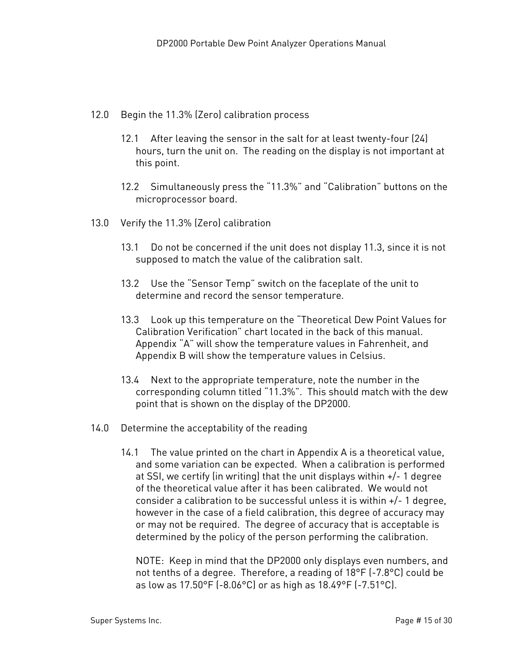- 12.0 Begin the 11.3% (Zero) calibration process
	- 12.1 After leaving the sensor in the salt for at least twenty-four (24) hours, turn the unit on. The reading on the display is not important at this point.
	- 12.2 Simultaneously press the "11.3%" and "Calibration" buttons on the microprocessor board.
- 13.0 Verify the 11.3% (Zero) calibration
	- 13.1 Do not be concerned if the unit does not display 11.3, since it is not supposed to match the value of the calibration salt.
	- 13.2 Use the "Sensor Temp" switch on the faceplate of the unit to determine and record the sensor temperature.
	- 13.3 Look up this temperature on the "Theoretical Dew Point Values for Calibration Verification" chart located in the back of this manual. Appendix "A" will show the temperature values in Fahrenheit, and Appendix B will show the temperature values in Celsius.
	- 13.4 Next to the appropriate temperature, note the number in the corresponding column titled "11.3%". This should match with the dew point that is shown on the display of the DP2000.
- 14.0 Determine the acceptability of the reading
	- 14.1 The value printed on the chart in Appendix A is a theoretical value, and some variation can be expected. When a calibration is performed at SSI, we certify (in writing) that the unit displays within +/- 1 degree of the theoretical value after it has been calibrated. We would not consider a calibration to be successful unless it is within +/- 1 degree, however in the case of a field calibration, this degree of accuracy may or may not be required. The degree of accuracy that is acceptable is determined by the policy of the person performing the calibration.

NOTE: Keep in mind that the DP2000 only displays even numbers, and not tenths of a degree. Therefore, a reading of 18°F (-7.8°C) could be as low as 17.50°F (-8.06°C) or as high as 18.49°F (-7.51°C).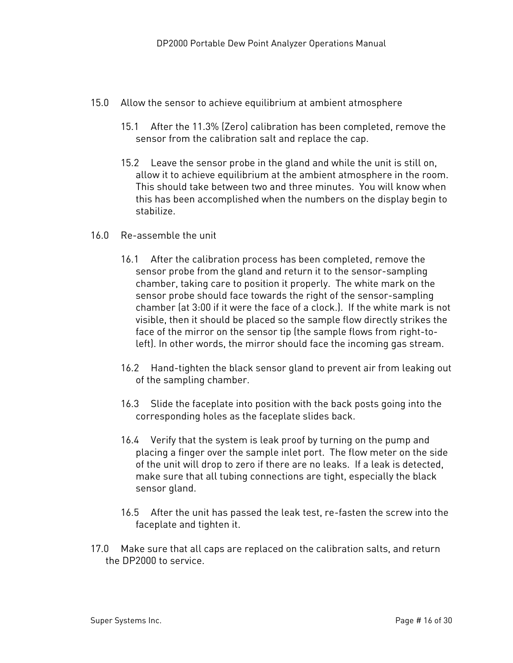- 15.0 Allow the sensor to achieve equilibrium at ambient atmosphere
	- 15.1 After the 11.3% (Zero) calibration has been completed, remove the sensor from the calibration salt and replace the cap.
	- 15.2 Leave the sensor probe in the gland and while the unit is still on, allow it to achieve equilibrium at the ambient atmosphere in the room. This should take between two and three minutes. You will know when this has been accomplished when the numbers on the display begin to stabilize.
- 16.0 Re-assemble the unit
	- 16.1 After the calibration process has been completed, remove the sensor probe from the gland and return it to the sensor-sampling chamber, taking care to position it properly. The white mark on the sensor probe should face towards the right of the sensor-sampling chamber (at 3:00 if it were the face of a clock.). If the white mark is not visible, then it should be placed so the sample flow directly strikes the face of the mirror on the sensor tip (the sample flows from right-toleft). In other words, the mirror should face the incoming gas stream.
	- 16.2 Hand-tighten the black sensor gland to prevent air from leaking out of the sampling chamber.
	- 16.3 Slide the faceplate into position with the back posts going into the corresponding holes as the faceplate slides back.
	- 16.4 Verify that the system is leak proof by turning on the pump and placing a finger over the sample inlet port. The flow meter on the side of the unit will drop to zero if there are no leaks. If a leak is detected, make sure that all tubing connections are tight, especially the black sensor gland.
	- 16.5 After the unit has passed the leak test, re-fasten the screw into the faceplate and tighten it.
- 17.0 Make sure that all caps are replaced on the calibration salts, and return the DP2000 to service.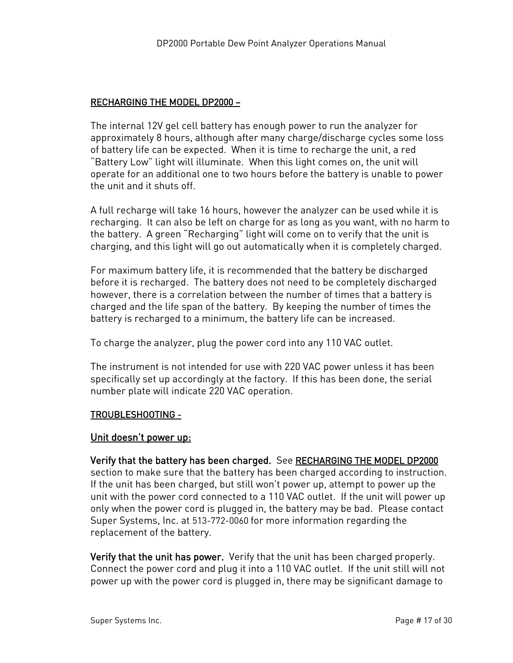#### <span id="page-16-0"></span>RECHARGING THE MODEL DP2000 –

The internal 12V gel cell battery has enough power to run the analyzer for approximately 8 hours, although after many charge/discharge cycles some loss of battery life can be expected. When it is time to recharge the unit, a red "Battery Low" light will illuminate. When this light comes on, the unit will operate for an additional one to two hours before the battery is unable to power the unit and it shuts off.

A full recharge will take 16 hours, however the analyzer can be used while it is recharging. It can also be left on charge for as long as you want, with no harm to the battery. A green "Recharging" light will come on to verify that the unit is charging, and this light will go out automatically when it is completely charged.

For maximum battery life, it is recommended that the battery be discharged before it is recharged. The battery does not need to be completely discharged however, there is a correlation between the number of times that a battery is charged and the life span of the battery. By keeping the number of times the battery is recharged to a minimum, the battery life can be increased.

To charge the analyzer, plug the power cord into any 110 VAC outlet.

The instrument is not intended for use with 220 VAC power unless it has been specifically set up accordingly at the factory. If this has been done, the serial number plate will indicate 220 VAC operation.

#### <span id="page-16-1"></span>TROUBLESHOOTING -

#### <span id="page-16-2"></span>Unit doesn't power up:

#### Verify that the battery has been charged. See RECHARGING THE MODEL DP2000

section to make sure that the battery has been charged according to instruction. If the unit has been charged, but still won't power up, attempt to power up the unit with the power cord connected to a 110 VAC outlet. If the unit will power up only when the power cord is plugged in, the battery may be bad. Please contact Super Systems, Inc. at 513-772-0060 for more information regarding the replacement of the battery.

Verify that the unit has power. Verify that the unit has been charged properly. Connect the power cord and plug it into a 110 VAC outlet. If the unit still will not power up with the power cord is plugged in, there may be significant damage to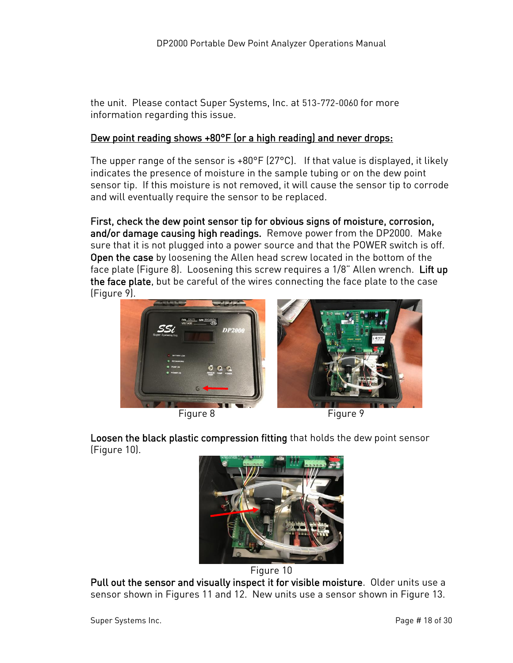the unit. Please contact Super Systems, Inc. at 513-772-0060 for more information regarding this issue.

#### <span id="page-17-0"></span>Dew point reading shows +80°F (or a high reading) and never drops:

The upper range of the sensor is +80°F (27°C). If that value is displayed, it likely indicates the presence of moisture in the sample tubing or on the dew point sensor tip. If this moisture is not removed, it will cause the sensor tip to corrode and will eventually require the sensor to be replaced.

First, check the dew point sensor tip for obvious signs of moisture, corrosion, and/or damage causing high readings. Remove power from the DP2000. Make sure that it is not plugged into a power source and that the POWER switch is off. Open the case by loosening the Allen head screw located in the bottom of the face plate (Figure 8). Loosening this screw requires a 1/8" Allen wrench. Lift up the face plate, but be careful of the wires connecting the face plate to the case (Figure 9).



Loosen the black plastic compression fitting that holds the dew point sensor (Figure 10).





Pull out the sensor and visually inspect it for visible moisture. Older units use a sensor shown in Figures 11 and 12. New units use a sensor shown in Figure 13.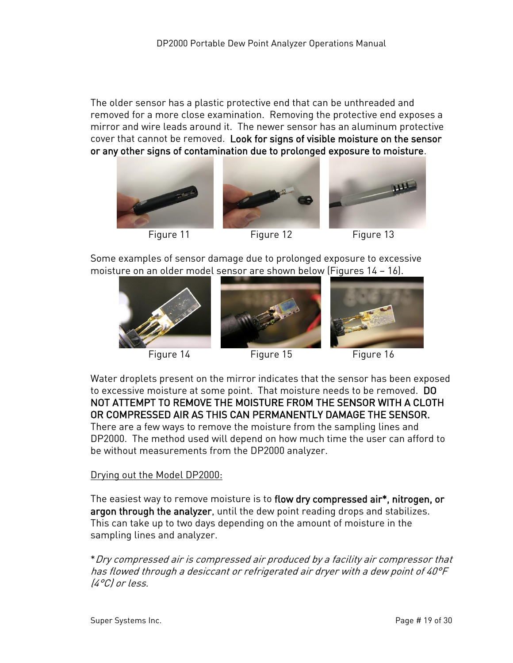The older sensor has a plastic protective end that can be unthreaded and removed for a more close examination. Removing the protective end exposes a mirror and wire leads around it. The newer sensor has an aluminum protective cover that cannot be removed. Look for signs of visible moisture on the sensor or any other signs of contamination due to prolonged exposure to moisture.







Figure 11 Figure 12 Figure 13

Some examples of sensor damage due to prolonged exposure to excessive moisture on an older model sensor are shown below (Figures 14 – 16).







Water droplets present on the mirror indicates that the sensor has been exposed to excessive moisture at some point. That moisture needs to be removed. DO NOT ATTEMPT TO REMOVE THE MOISTURE FROM THE SENSOR WITH A CLOTH OR COMPRESSED AIR AS THIS CAN PERMANENTLY DAMAGE THE SENSOR.

There are a few ways to remove the moisture from the sampling lines and DP2000. The method used will depend on how much time the user can afford to be without measurements from the DP2000 analyzer.

# Drying out the Model DP2000:

The easiest way to remove moisture is to flow dry compressed air\*, nitrogen, or argon through the analyzer, until the dew point reading drops and stabilizes. This can take up to two days depending on the amount of moisture in the sampling lines and analyzer.

\*Dry compressed air is compressed air produced by a facility air compressor that has flowed through a desiccant or refrigerated air dryer with a dew point of 40°F (4°C) or less.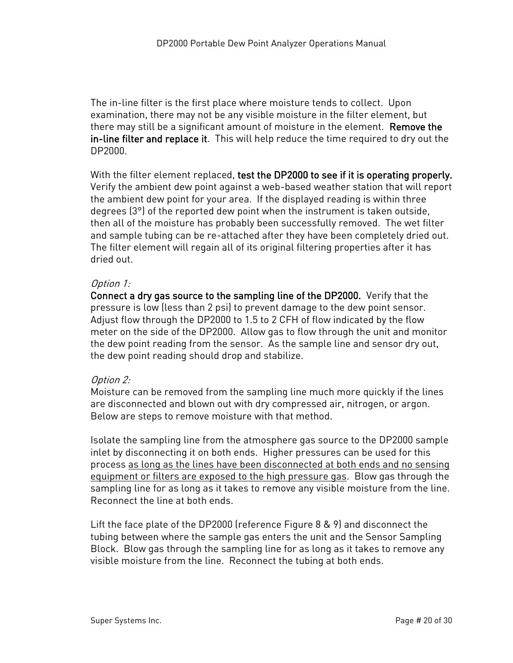The in-line filter is the first place where moisture tends to collect. Upon examination, there may not be any visible moisture in the filter element, but there may still be a significant amount of moisture in the element. Remove the in-line filter and replace it. This will help reduce the time required to dry out the DP2000.

With the filter element replaced, test the DP2000 to see if it is operating properly. Verify the ambient dew point against a web-based weather station that will report the ambient dew point for your area. If the displayed reading is within three degrees (3°) of the reported dew point when the instrument is taken outside, then all of the moisture has probably been successfully removed. The wet filter and sample tubing can be re-attached after they have been completely dried out. The filter element will regain all of its original filtering properties after it has dried out.

#### Option 1:

Connect a dry gas source to the sampling line of the DP2000. Verify that the pressure is low (less than 2 psi) to prevent damage to the dew point sensor. Adjust flow through the DP2000 to 1.5 to 2 CFH of flow indicated by the flow meter on the side of the DP2000. Allow gas to flow through the unit and monitor the dew point reading from the sensor. As the sample line and sensor dry out, the dew point reading should drop and stabilize.

#### Option 2:

Moisture can be removed from the sampling line much more quickly if the lines are disconnected and blown out with dry compressed air, nitrogen, or argon. Below are steps to remove moisture with that method.

Isolate the sampling line from the atmosphere gas source to the DP2000 sample inlet by disconnecting it on both ends. Higher pressures can be used for this process as long as the lines have been disconnected at both ends and no sensing equipment or filters are exposed to the high pressure gas. Blow gas through the sampling line for as long as it takes to remove any visible moisture from the line. Reconnect the line at both ends.

Lift the face plate of the DP2000 (reference Figure 8 & 9) and disconnect the tubing between where the sample gas enters the unit and the Sensor Sampling Block. Blow gas through the sampling line for as long as it takes to remove any visible moisture from the line. Reconnect the tubing at both ends.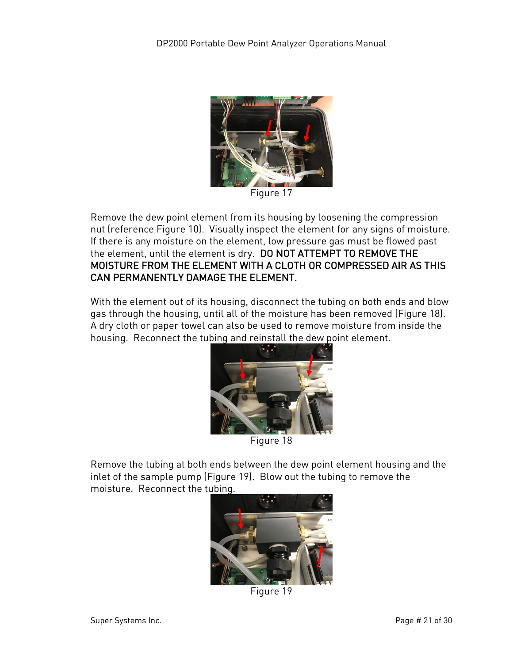

Figure 17

Remove the dew point element from its housing by loosening the compression nut (reference Figure 10). Visually inspect the element for any signs of moisture. If there is any moisture on the element, low pressure gas must be flowed past the element, until the element is dry. DO NOT ATTEMPT TO REMOVE THE MOISTURE FROM THE ELEMENT WITH A CLOTH OR COMPRESSED AIR AS THIS CAN PERMANENTLY DAMAGE THE ELEMENT.

With the element out of its housing, disconnect the tubing on both ends and blow gas through the housing, until all of the moisture has been removed (Figure 18). A dry cloth or paper towel can also be used to remove moisture from inside the housing. Reconnect the tubing and reinstall the dew point element.



Remove the tubing at both ends between the dew point element housing and the inlet of the sample pump (Figure 19). Blow out the tubing to remove the moisture. Reconnect the tubing.



Figure 19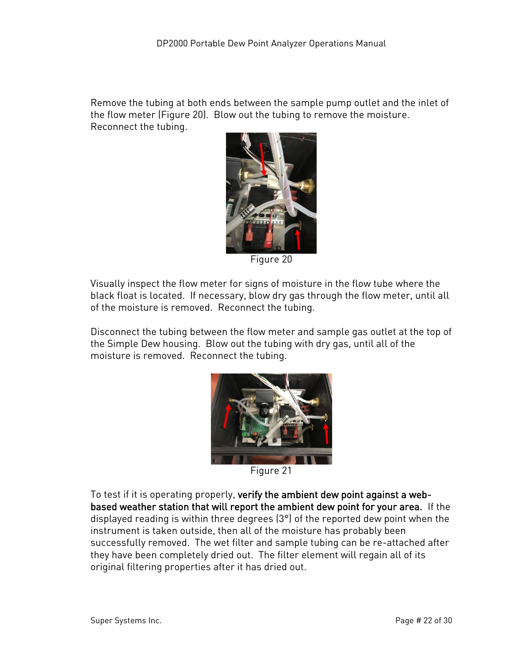Remove the tubing at both ends between the sample pump outlet and the inlet of the flow meter (Figure 20). Blow out the tubing to remove the moisture. Reconnect the tubing.



Figure 20

Visually inspect the flow meter for signs of moisture in the flow tube where the black float is located. If necessary, blow dry gas through the flow meter, until all of the moisture is removed. Reconnect the tubing.

Disconnect the tubing between the flow meter and sample gas outlet at the top of the Simple Dew housing. Blow out the tubing with dry gas, until all of the moisture is removed. Reconnect the tubing.



Figure 21

To test if it is operating properly, verify the ambient dew point against a webbased weather station that will report the ambient dew point for your area. If the displayed reading is within three degrees (3°) of the reported dew point when the instrument is taken outside, then all of the moisture has probably been successfully removed. The wet filter and sample tubing can be re-attached after they have been completely dried out. The filter element will regain all of its original filtering properties after it has dried out.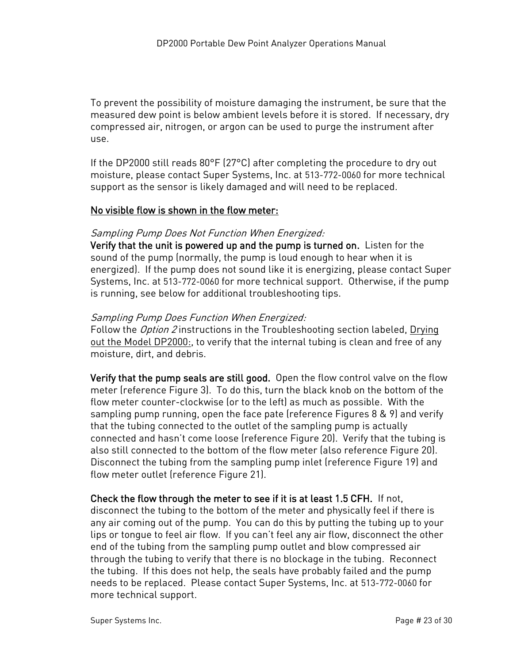To prevent the possibility of moisture damaging the instrument, be sure that the measured dew point is below ambient levels before it is stored. If necessary, dry compressed air, nitrogen, or argon can be used to purge the instrument after use.

If the DP2000 still reads 80°F (27°C) after completing the procedure to dry out moisture, please contact Super Systems, Inc. at 513-772-0060 for more technical support as the sensor is likely damaged and will need to be replaced.

#### <span id="page-22-0"></span>No visible flow is shown in the flow meter:

#### Sampling Pump Does Not Function When Energized:

Verify that the unit is powered up and the pump is turned on. Listen for the sound of the pump (normally, the pump is loud enough to hear when it is energized). If the pump does not sound like it is energizing, please contact Super Systems, Inc. at 513-772-0060 for more technical support. Otherwise, if the pump is running, see below for additional troubleshooting tips.

#### Sampling Pump Does Function When Energized:

Follow the *Option 2* instructions in the Troubleshooting section labeled, Drying out the Model DP2000:, to verify that the internal tubing is clean and free of any moisture, dirt, and debris.

Verify that the pump seals are still good. Open the flow control valve on the flow meter (reference Figure 3). To do this, turn the black knob on the bottom of the flow meter counter-clockwise (or to the left) as much as possible. With the sampling pump running, open the face pate (reference Figures 8 & 9) and verify that the tubing connected to the outlet of the sampling pump is actually connected and hasn't come loose (reference Figure 20). Verify that the tubing is also still connected to the bottom of the flow meter (also reference Figure 20). Disconnect the tubing from the sampling pump inlet (reference Figure 19) and flow meter outlet (reference Figure 21).

#### Check the flow through the meter to see if it is at least 1.5 CFH. If not,

disconnect the tubing to the bottom of the meter and physically feel if there is any air coming out of the pump. You can do this by putting the tubing up to your lips or tongue to feel air flow. If you can't feel any air flow, disconnect the other end of the tubing from the sampling pump outlet and blow compressed air through the tubing to verify that there is no blockage in the tubing. Reconnect the tubing. If this does not help, the seals have probably failed and the pump needs to be replaced. Please contact Super Systems, Inc. at 513-772-0060 for more technical support.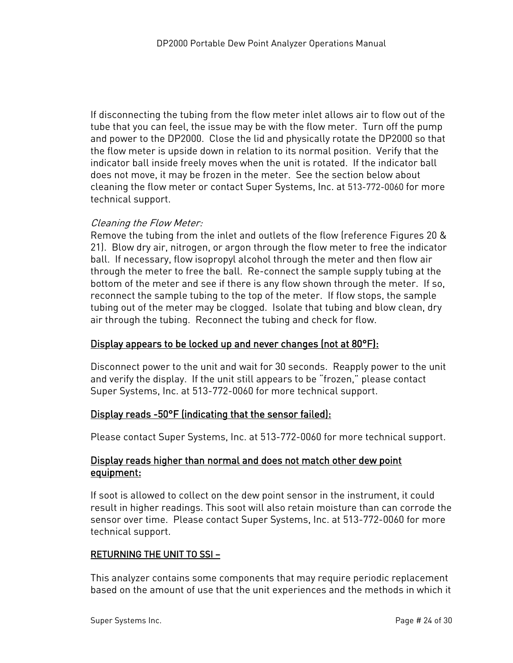If disconnecting the tubing from the flow meter inlet allows air to flow out of the tube that you can feel, the issue may be with the flow meter. Turn off the pump and power to the DP2000. Close the lid and physically rotate the DP2000 so that the flow meter is upside down in relation to its normal position. Verify that the indicator ball inside freely moves when the unit is rotated. If the indicator ball does not move, it may be frozen in the meter. See the section below about cleaning the flow meter or contact Super Systems, Inc. at 513-772-0060 for more technical support.

#### Cleaning the Flow Meter:

Remove the tubing from the inlet and outlets of the flow (reference Figures 20 & 21). Blow dry air, nitrogen, or argon through the flow meter to free the indicator ball. If necessary, flow isopropyl alcohol through the meter and then flow air through the meter to free the ball. Re-connect the sample supply tubing at the bottom of the meter and see if there is any flow shown through the meter. If so, reconnect the sample tubing to the top of the meter. If flow stops, the sample tubing out of the meter may be clogged. Isolate that tubing and blow clean, dry air through the tubing. Reconnect the tubing and check for flow.

#### <span id="page-23-0"></span>Display appears to be locked up and never changes (not at 80°F):

Disconnect power to the unit and wait for 30 seconds. Reapply power to the unit and verify the display. If the unit still appears to be "frozen," please contact Super Systems, Inc. at 513-772-0060 for more technical support.

#### <span id="page-23-1"></span>Display reads -50°F (indicating that the sensor failed):

Please contact Super Systems, Inc. at 513-772-0060 for more technical support.

#### <span id="page-23-2"></span>Display reads higher than normal and does not match other dew point equipment:

If soot is allowed to collect on the dew point sensor in the instrument, it could result in higher readings. This soot will also retain moisture than can corrode the sensor over time. Please contact Super Systems, Inc. at 513-772-0060 for more technical support.

#### <span id="page-23-3"></span>RETURNING THE UNIT TO SSI –

This analyzer contains some components that may require periodic replacement based on the amount of use that the unit experiences and the methods in which it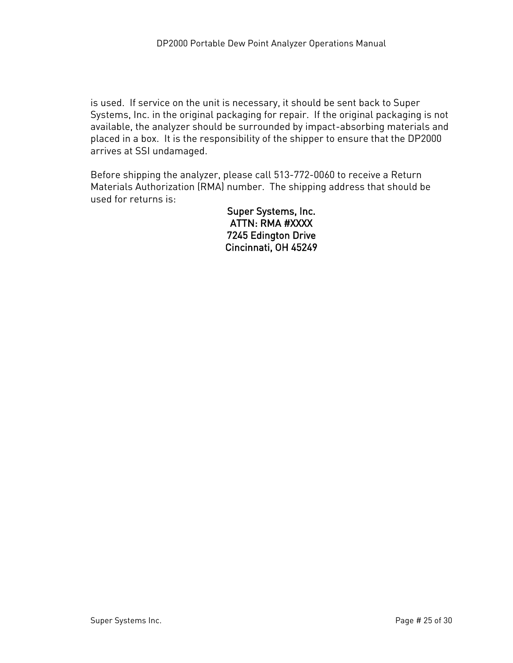is used. If service on the unit is necessary, it should be sent back to Super Systems, Inc. in the original packaging for repair. If the original packaging is not available, the analyzer should be surrounded by impact-absorbing materials and placed in a box. It is the responsibility of the shipper to ensure that the DP2000 arrives at SSI undamaged.

Before shipping the analyzer, please call 513-772-0060 to receive a Return Materials Authorization (RMA) number. The shipping address that should be used for returns is:

> Super Systems, Inc. ATTN: RMA #XXXX 7245 Edington Drive Cincinnati, OH 45249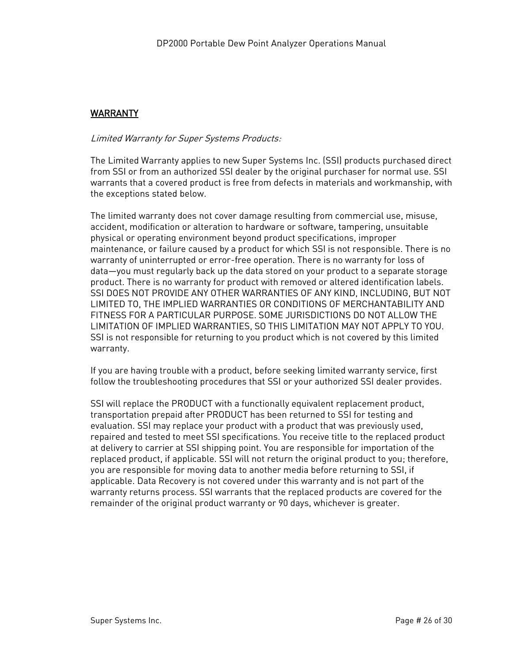#### <span id="page-25-0"></span>WARRANTY

#### Limited Warranty for Super Systems Products:

The Limited Warranty applies to new Super Systems Inc. (SSI) products purchased direct from SSI or from an authorized SSI dealer by the original purchaser for normal use. SSI warrants that a covered product is free from defects in materials and workmanship, with the exceptions stated below.

The limited warranty does not cover damage resulting from commercial use, misuse, accident, modification or alteration to hardware or software, tampering, unsuitable physical or operating environment beyond product specifications, improper maintenance, or failure caused by a product for which SSI is not responsible. There is no warranty of uninterrupted or error-free operation. There is no warranty for loss of data—you must regularly back up the data stored on your product to a separate storage product. There is no warranty for product with removed or altered identification labels. SSI DOES NOT PROVIDE ANY OTHER WARRANTIES OF ANY KIND, INCLUDING, BUT NOT LIMITED TO, THE IMPLIED WARRANTIES OR CONDITIONS OF MERCHANTABILITY AND FITNESS FOR A PARTICULAR PURPOSE. SOME JURISDICTIONS DO NOT ALLOW THE LIMITATION OF IMPLIED WARRANTIES, SO THIS LIMITATION MAY NOT APPLY TO YOU. SSI is not responsible for returning to you product which is not covered by this limited warranty.

If you are having trouble with a product, before seeking limited warranty service, first follow the troubleshooting procedures that SSI or your authorized SSI dealer provides.

SSI will replace the PRODUCT with a functionally equivalent replacement product, transportation prepaid after PRODUCT has been returned to SSI for testing and evaluation. SSI may replace your product with a product that was previously used, repaired and tested to meet SSI specifications. You receive title to the replaced product at delivery to carrier at SSI shipping point. You are responsible for importation of the replaced product, if applicable. SSI will not return the original product to you; therefore, you are responsible for moving data to another media before returning to SSI, if applicable. Data Recovery is not covered under this warranty and is not part of the warranty returns process. SSI warrants that the replaced products are covered for the remainder of the original product warranty or 90 days, whichever is greater.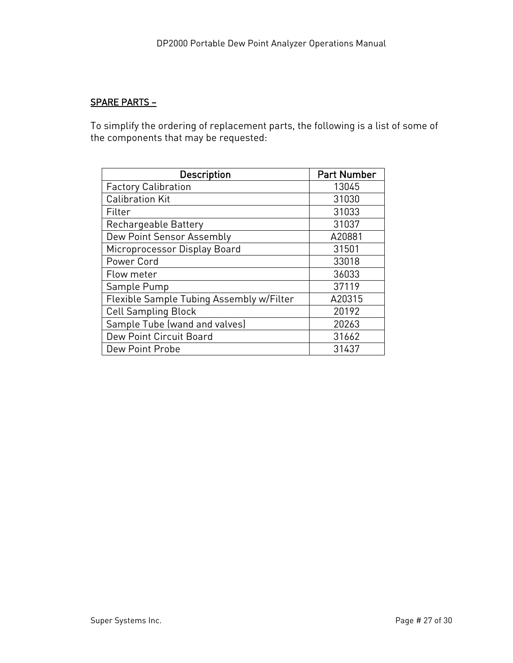#### <span id="page-26-0"></span>SPARE PARTS –

To simplify the ordering of replacement parts, the following is a list of some of the components that may be requested:

| <b>Description</b>                       | <b>Part Number</b> |
|------------------------------------------|--------------------|
| <b>Factory Calibration</b>               | 13045              |
| <b>Calibration Kit</b>                   | 31030              |
| Filter                                   | 31033              |
| Rechargeable Battery                     | 31037              |
| Dew Point Sensor Assembly                | A20881             |
| Microprocessor Display Board             | 31501              |
| Power Cord                               | 33018              |
| Flow meter                               | 36033              |
| Sample Pump                              | 37119              |
| Flexible Sample Tubing Assembly w/Filter | A20315             |
| <b>Cell Sampling Block</b>               | 20192              |
| Sample Tube (wand and valves)            | 20263              |
| Dew Point Circuit Board                  | 31662              |
| Dew Point Probe                          | 31437              |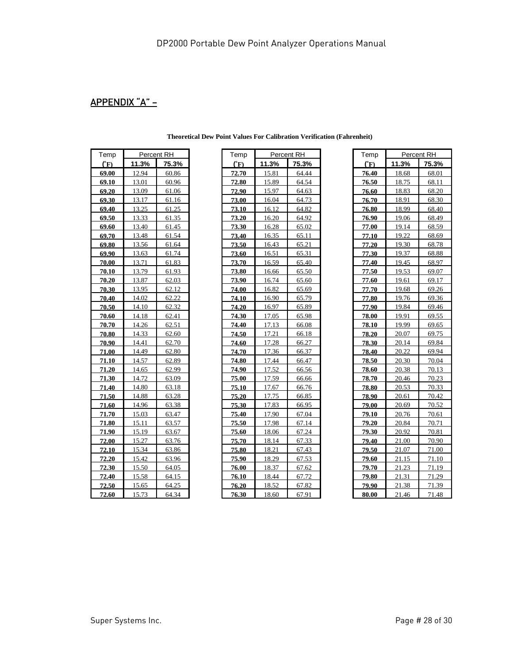# <span id="page-27-0"></span>APPENDIX "A" –

| Temp         |       | Percent RH |  |
|--------------|-------|------------|--|
| $\mathbf{C}$ | 11.3% | 75.3%      |  |
| 69.00        | 12.94 | 60.86      |  |
| 69.10        | 13.01 | 60.96      |  |
| 69.20        | 13.09 | 61.06      |  |
| 69.30        | 13.17 | 61.16      |  |
| 69.40        | 13.25 | 61.25      |  |
| 69.50        | 13.33 | 61.35      |  |
| 69.60        | 13.40 | 61.45      |  |
| 69.70        | 13.48 | 61.54      |  |
| 69.80        | 13.56 | 61.64      |  |
| 69.90        | 13.63 | 61.74      |  |
| 70.00        | 13.71 | 61.83      |  |
| 70.10        | 13.79 | 61.93      |  |
| 70.20        | 13.87 | 62.03      |  |
| 70.30        | 13.95 | 62.12      |  |
| 70.40        | 14.02 | 62.22      |  |
| 70.50        | 14.10 | 62.32      |  |
| 70.60        | 14.18 | 62.41      |  |
| 70.70        | 14.26 | 62.51      |  |
| 70.80        | 14.33 | 62.60      |  |
| 70.90        | 14.41 | 62.70      |  |
| 71.00        | 14.49 | 62.80      |  |
| 71.10        | 14.57 | 62.89      |  |
| 71.20        | 14.65 | 62.99      |  |
| 71.30        | 14.72 | 63.09      |  |
| 71.40        | 14.80 | 63.18      |  |
| 71.50        | 14.88 | 63.28      |  |
| 71.60        | 14.96 | 63.38      |  |
| 71.70        | 15.03 | 63.47      |  |
| 71.80        | 15.11 | 63.57      |  |
| 71.90        | 15.19 | 63.67      |  |
| 72.00        | 15.27 | 63.76      |  |
| 72.10        | 15.34 | 63.86      |  |
| 72.20        | 15.42 | 63.96      |  |
| 72.30        | 15.50 | 64.05      |  |
| 72.40        | 15.58 | 64.15      |  |
| 72.50        | 15.65 | 64.25      |  |
| 72.60        | 15.73 | 64.34      |  |

| Temp           |       | Percent RH | Temp                            |       | Percent RH | Temp                            |       | Percent RH |
|----------------|-------|------------|---------------------------------|-------|------------|---------------------------------|-------|------------|
| $(\mathbf{F})$ | 11.3% | 75.3%      | $\binom{^{\circ} \mathrm{F}}{}$ | 11.3% | 75.3%      | $\binom{^{\circ} \mathrm{F}}{}$ | 11.3% | 75.3%      |
| 69.00          | 12.94 | 60.86      | 72.70                           | 15.81 | 64.44      | 76.40                           | 18.68 | 68.01      |
| 69.10          | 13.01 | 60.96      | 72.80                           | 15.89 | 64.54      | 76.50                           | 18.75 | 68.11      |
| 69.20          | 13.09 | 61.06      | 72.90                           | 15.97 | 64.63      | 76.60                           | 18.83 | 68.20      |
| 69.30          | 13.17 | 61.16      | 73.00                           | 16.04 | 64.73      | 76.70                           | 18.91 | 68.30      |
| 69.40          | 13.25 | 61.25      | 73.10                           | 16.12 | 64.82      | 76.80                           | 18.99 | 68.40      |
| 69.50          | 13.33 | 61.35      | 73.20                           | 16.20 | 64.92      | 76.90                           | 19.06 | 68.49      |
| 69.60          | 13.40 | 61.45      | 73.30                           | 16.28 | 65.02      | 77.00                           | 19.14 | 68.59      |
| 69.70          | 13.48 | 61.54      | 73.40                           | 16.35 | 65.11      | 77.10                           | 19.22 | 68.69      |
| 69.80          | 13.56 | 61.64      | 73.50                           | 16.43 | 65.21      | 77.20                           | 19.30 | 68.78      |
| 69.90          | 13.63 | 61.74      | 73.60                           | 16.51 | 65.31      | 77.30                           | 19.37 | 68.88      |
| 70.00          | 13.71 | 61.83      | 73.70                           | 16.59 | 65.40      | 77.40                           | 19.45 | 68.97      |
| 70.10          | 13.79 | 61.93      | 73.80                           | 16.66 | 65.50      | 77.50                           | 19.53 | 69.07      |
| 70.20          | 13.87 | 62.03      | 73.90                           | 16.74 | 65.60      | 77.60                           | 19.61 | 69.17      |
| 70.30          | 13.95 | 62.12      | 74.00                           | 16.82 | 65.69      | 77.70                           | 19.68 | 69.26      |
| 70.40          | 14.02 | 62.22      | 74.10                           | 16.90 | 65.79      | 77.80                           | 19.76 | 69.36      |
| 70.50          | 14.10 | 62.32      | 74.20                           | 16.97 | 65.89      | 77.90                           | 19.84 | 69.46      |
| 70.60          | 14.18 | 62.41      | 74.30                           | 17.05 | 65.98      | 78.00                           | 19.91 | 69.55      |
| 70.70          | 14.26 | 62.51      | 74.40                           | 17.13 | 66.08      | 78.10                           | 19.99 | 69.65      |
| 70.80          | 14.33 | 62.60      | 74.50                           | 17.21 | 66.18      | 78.20                           | 20.07 | 69.75      |
| 70.90          | 14.41 | 62.70      | 74.60                           | 17.28 | 66.27      | 78.30                           | 20.14 | 69.84      |
| 71.00          | 14.49 | 62.80      | 74.70                           | 17.36 | 66.37      | 78.40                           | 20.22 | 69.94      |
| 71.10          | 14.57 | 62.89      | 74.80                           | 17.44 | 66.47      | 78.50                           | 20.30 | 70.04      |
| 71.20          | 14.65 | 62.99      | 74.90                           | 17.52 | 66.56      | 78.60                           | 20.38 | 70.13      |
| 71.30          | 14.72 | 63.09      | 75.00                           | 17.59 | 66.66      | 78.70                           | 20.46 | 70.23      |
| 71.40          | 14.80 | 63.18      | 75.10                           | 17.67 | 66.76      | 78.80                           | 20.53 | 70.33      |
| 71.50          | 14.88 | 63.28      | 75.20                           | 17.75 | 66.85      | 78.90                           | 20.61 | 70.42      |
| 71.60          | 14.96 | 63.38      | 75.30                           | 17.83 | 66.95      | 79.00                           | 20.69 | 70.52      |
| 71.70          | 15.03 | 63.47      | 75.40                           | 17.90 | 67.04      | 79.10                           | 20.76 | 70.61      |
| 71.80          | 15.11 | 63.57      | 75.50                           | 17.98 | 67.14      | 79.20                           | 20.84 | 70.71      |
| 71.90          | 15.19 | 63.67      | 75.60                           | 18.06 | 67.24      | 79.30                           | 20.92 | 70.81      |
| 72.00          | 15.27 | 63.76      | 75.70                           | 18.14 | 67.33      | 79.40                           | 21.00 | 70.90      |
| 72.10          | 15.34 | 63.86      | 75.80                           | 18.21 | 67.43      | 79.50                           | 21.07 | 71.00      |
| 72.20          | 15.42 | 63.96      | 75.90                           | 18.29 | 67.53      | 79.60                           | 21.15 | 71.10      |
| 72.30          | 15.50 | 64.05      | 76.00                           | 18.37 | 67.62      | 79.70                           | 21.23 | 71.19      |
| 72.40          | 15.58 | 64.15      | 76.10                           | 18.44 | 67.72      | 79.80                           | 21.31 | 71.29      |
| 72.50          | 15.65 | 64.25      | 76.20                           | 18.52 | 67.82      | 79.90                           | 21.38 | 71.39      |
| <b>72.60</b>   | 15.73 | 64.34      | 76.30                           | 18.60 | 67.91      | 80.00                           | 21.46 | 71.48      |

| Temp                  | Percent RH |       |  |  |  |
|-----------------------|------------|-------|--|--|--|
| $\binom{6}{\text{F}}$ | 11.3%      | 75.3% |  |  |  |
| 76.40                 | 18.68      | 68.01 |  |  |  |
| 76.50                 | 18.75      | 68.11 |  |  |  |
| 76.60                 | 18.83      | 68.20 |  |  |  |
| 76.70                 | 18.91      | 68.30 |  |  |  |
| 76.80                 | 18.99      | 68.40 |  |  |  |
| 76.90                 | 19.06      | 68.49 |  |  |  |
| 77.00                 | 19.14      | 68.59 |  |  |  |
| 77.10                 | 19.22      | 68.69 |  |  |  |
| 77.20                 | 19.30      | 68.78 |  |  |  |
| 77.30                 | 19.37      | 68.88 |  |  |  |
| 77.40                 | 19.45      | 68.97 |  |  |  |
| 77.50                 | 19.53      | 69.07 |  |  |  |
| 77.60                 | 19.61      | 69.17 |  |  |  |
| 77.70                 | 19.68      | 69.26 |  |  |  |
| 77.80                 | 19.76      | 69.36 |  |  |  |
| 77.90                 | 19.84      | 69.46 |  |  |  |
| 78.00                 | 19.91      | 69.55 |  |  |  |
| 78.10                 | 19.99      | 69.65 |  |  |  |
| 78.20                 | 20.07      | 69.75 |  |  |  |
| 78.30                 | 20.14      | 69.84 |  |  |  |
| 78.40                 | 20.22      | 69.94 |  |  |  |
| 78.50                 | 20.30      | 70.04 |  |  |  |
| 78.60                 | 20.38      | 70.13 |  |  |  |
| 78.70                 | 20.46      | 70.23 |  |  |  |
| 78.80                 | 20.53      | 70.33 |  |  |  |
| 78.90                 | 20.61      | 70.42 |  |  |  |
| 79.00                 | 20.69      | 70.52 |  |  |  |
| 79.10                 | 20.76      | 70.61 |  |  |  |
| 79.20                 | 20.84      | 70.71 |  |  |  |
| 79.30                 | 20.92      | 70.81 |  |  |  |
| 79.40                 | 21.00      | 70.90 |  |  |  |
| 79.50                 | 21.07      | 71.00 |  |  |  |
| 79.60                 | 21.15      | 71.10 |  |  |  |
| 79.70                 | 21.23      | 71.19 |  |  |  |
| 79.80                 | 21.31      | 71.29 |  |  |  |
| 79.90                 | 21.38      | 71.39 |  |  |  |
| 80.00                 | 21.46      | 71.48 |  |  |  |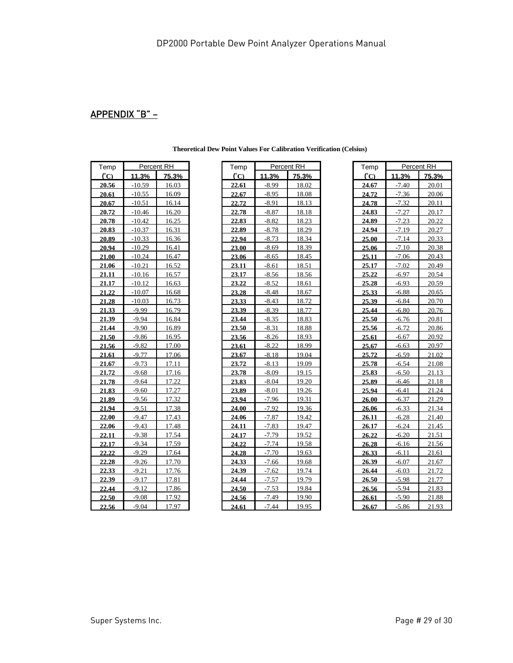# <span id="page-28-0"></span>APPENDIX "B" –

| Temp           |          | Percent RH |  |
|----------------|----------|------------|--|
| C <sub>C</sub> | 11.3%    | 75.3%      |  |
| 20.56          | $-10.59$ | 16.03      |  |
| 20.61          | $-10.55$ | 16.09      |  |
| 20.67          | $-10.51$ | 16.14      |  |
| 20.72          | $-10.46$ | 16.20      |  |
| 20.78          | $-10.42$ | 16.25      |  |
| 20.83          | $-10.37$ | 16.31      |  |
| 20.89          | $-10.33$ | 16.36      |  |
| 20.94          | $-10.29$ | 16.41      |  |
| 21.00          | $-10.24$ | 16.47      |  |
| 21.06          | $-10.21$ | 16.52      |  |
| 21.11          | $-10.16$ | 16.57      |  |
| 21.17          | $-10.12$ | 16.63      |  |
| 21.22          | $-10.07$ | 16.68      |  |
| 21.28          | $-10.03$ | 16.73      |  |
| 21.33          | $-9.99$  | 16.79      |  |
| 21.39          | $-9.94$  | 16.84      |  |
| 21.44          | $-9.90$  | 16.89      |  |
| 21.50          | $-9.86$  | 16.95      |  |
| 21.56          | $-9.82$  | 17.00      |  |
| 21.61          | $-9.77$  | 17.06      |  |
| 21.67          | $-9.73$  | 17.11      |  |
| 21.72          | $-9.68$  | 17.16      |  |
| 21.78          | $-9.64$  | 17.22      |  |
| 21.83          | $-9.60$  | 17.27      |  |
| 21.89          | $-9.56$  | 17.32      |  |
| 21.94          | $-9.51$  | 17.38      |  |
| 22.00          | $-9.47$  | 17.43      |  |
| 22.06          | $-9.43$  | 17.48      |  |
| 22.11          | $-9.38$  | 17.54      |  |
| 22.17          | $-9.34$  | 17.59      |  |
| 22.22          | $-9.29$  | 17.64      |  |
| 22.28          | $-9.26$  | 17.70      |  |
| 22.33          | $-9.21$  | 17.76      |  |
| 22.39          | $-9.17$  | 17.81      |  |
| 22.44          | $-9.12$  | 17.86      |  |
| 22.50          | $-9.08$  | 17.92      |  |
| 22.56          | $-9.04$  | 17.97      |  |

**Theoretical Dew Point Values For Calibration Verification (Celsius)**

| Temp  |          | Percent RH | Temp  |         | Percent RH | Temp  |         | Percent RH |
|-------|----------|------------|-------|---------|------------|-------|---------|------------|
| C     | 11.3%    | 75.3%      | C     | 11.3%   | 75.3%      | (°C)  | 11.3%   | 75.3%      |
| 20.56 | $-10.59$ | 16.03      | 22.61 | $-8.99$ | 18.02      | 24.67 | $-7.40$ | 20.01      |
| 20.61 | $-10.55$ | 16.09      | 22.67 | $-8.95$ | 18.08      | 24.72 | $-7.36$ | 20.06      |
| 20.67 | $-10.51$ | 16.14      | 22.72 | $-8.91$ | 18.13      | 24.78 | $-7.32$ | 20.11      |
| 20.72 | $-10.46$ | 16.20      | 22.78 | $-8.87$ | 18.18      | 24.83 | $-7.27$ | 20.17      |
| 20.78 | $-10.42$ | 16.25      | 22.83 | $-8.82$ | 18.23      | 24.89 | $-7.23$ | 20.22      |
| 20.83 | $-10.37$ | 16.31      | 22.89 | $-8.78$ | 18.29      | 24.94 | $-7.19$ | 20.27      |
| 20.89 | $-10.33$ | 16.36      | 22.94 | $-8.73$ | 18.34      | 25.00 | $-7.14$ | 20.33      |
| 20.94 | $-10.29$ | 16.41      | 23.00 | $-8.69$ | 18.39      | 25.06 | $-7.10$ | 20.38      |
| 21.00 | $-10.24$ | 16.47      | 23.06 | $-8.65$ | 18.45      | 25.11 | $-7.06$ | 20.43      |
| 21.06 | $-10.21$ | 16.52      | 23.11 | $-8.61$ | 18.51      | 25.17 | $-7.02$ | 20.49      |
| 21.11 | $-10.16$ | 16.57      | 23.17 | $-8.56$ | 18.56      | 25.22 | $-6.97$ | 20.54      |
| 21.17 | $-10.12$ | 16.63      | 23.22 | $-8.52$ | 18.61      | 25.28 | $-6.93$ | 20.59      |
| 21.22 | $-10.07$ | 16.68      | 23.28 | $-8.48$ | 18.67      | 25.33 | $-6.88$ | 20.65      |
| 21.28 | $-10.03$ | 16.73      | 23.33 | $-8.43$ | 18.72      | 25.39 | $-6.84$ | 20.70      |
| 21.33 | $-9.99$  | 16.79      | 23.39 | $-8.39$ | 18.77      | 25.44 | $-6.80$ | 20.76      |
| 21.39 | $-9.94$  | 16.84      | 23.44 | $-8.35$ | 18.83      | 25.50 | $-6.76$ | 20.81      |
| 21.44 | $-9.90$  | 16.89      | 23.50 | $-8.31$ | 18.88      | 25.56 | $-6.72$ | 20.86      |
| 21.50 | $-9.86$  | 16.95      | 23.56 | $-8.26$ | 18.93      | 25.61 | $-6.67$ | 20.92      |
| 21.56 | $-9.82$  | 17.00      | 23.61 | $-8.22$ | 18.99      | 25.67 | $-6.63$ | 20.97      |
| 21.61 | $-9.77$  | 17.06      | 23.67 | $-8.18$ | 19.04      | 25.72 | $-6.59$ | 21.02      |
| 21.67 | $-9.73$  | 17.11      | 23.72 | $-8.13$ | 19.09      | 25.78 | $-6.54$ | 21.08      |
| 21.72 | $-9.68$  | 17.16      | 23.78 | $-8.09$ | 19.15      | 25.83 | $-6.50$ | 21.13      |
| 21.78 | $-9.64$  | 17.22      | 23.83 | $-8.04$ | 19.20      | 25.89 | -6.46   | 21.18      |
| 21.83 | $-9.60$  | 17.27      | 23.89 | $-8.01$ | 19.26      | 25.94 | $-6.41$ | 21.24      |
| 21.89 | $-9.56$  | 17.32      | 23.94 | $-7.96$ | 19.31      | 26.00 | $-6.37$ | 21.29      |
| 21.94 | $-9.51$  | 17.38      | 24.00 | $-7.92$ | 19.36      | 26.06 | $-6.33$ | 21.34      |
| 22.00 | $-9.47$  | 17.43      | 24.06 | $-7.87$ | 19.42      | 26.11 | $-6.28$ | 21.40      |
| 22.06 | $-9.43$  | 17.48      | 24.11 | $-7.83$ | 19.47      | 26.17 | $-6.24$ | 21.45      |
| 22.11 | $-9.38$  | 17.54      | 24.17 | $-7.79$ | 19.52      | 26.22 | $-6.20$ | 21.51      |
| 22.17 | $-9.34$  | 17.59      | 24.22 | $-7.74$ | 19.58      | 26.28 | $-6.16$ | 21.56      |
| 22.22 | $-9.29$  | 17.64      | 24.28 | $-7.70$ | 19.63      | 26.33 | $-6.11$ | 21.61      |
| 22.28 | $-9.26$  | 17.70      | 24.33 | $-7.66$ | 19.68      | 26.39 | $-6.07$ | 21.67      |
| 22.33 | $-9.21$  | 17.76      | 24.39 | $-7.62$ | 19.74      | 26.44 | $-6.03$ | 21.72      |
| 22.39 | $-9.17$  | 17.81      | 24.44 | $-7.57$ | 19.79      | 26.50 | $-5.98$ | 21.77      |
| 22.44 | $-9.12$  | 17.86      | 24.50 | $-7.53$ | 19.84      | 26.56 | $-5.94$ | 21.83      |
| 22.50 | $-9.08$  | 17.92      | 24.56 | $-7.49$ | 19.90      | 26.61 | $-5.90$ | 21.88      |
| 22.56 | $-9.04$  | 17.97      | 24.61 | $-7.44$ | 19.95      | 26.67 | $-5.86$ | 21.93      |

|     | Percent RH | Temp          |         | Percent RH |  |
|-----|------------|---------------|---------|------------|--|
| 3%  | 75.3%      | $\mathcal{C}$ | 11.3%   | 75.3%      |  |
| .99 | 18.02      | 24.67         | $-7.40$ | 20.01      |  |
| .95 | 18.08      | 24.72         | $-7.36$ | 20.06      |  |
| .91 | 18.13      | 24.78         | $-7.32$ | 20.11      |  |
| .87 | 18.18      | 24.83         | $-7.27$ | 20.17      |  |
| .82 | 18.23      | 24.89         | $-7.23$ | 20.22      |  |
| .78 | 18.29      | 24.94         | $-7.19$ | 20.27      |  |
| .73 | 18.34      | 25.00         | $-7.14$ | 20.33      |  |
| .69 | 18.39      | 25.06         | $-7.10$ | 20.38      |  |
| .65 | 18.45      | 25.11         | $-7.06$ | 20.43      |  |
| .61 | 18.51      | 25.17         | $-7.02$ | 20.49      |  |
| .56 | 18.56      | 25.22         | $-6.97$ | 20.54      |  |
| .52 | 18.61      | 25.28         | $-6.93$ | 20.59      |  |
| .48 | 18.67      | 25.33         | $-6.88$ | 20.65      |  |
| .43 | 18.72      | 25.39         | $-6.84$ | 20.70      |  |
| .39 | 18.77      | 25.44         | $-6.80$ | 20.76      |  |
| .35 | 18.83      | 25.50         | $-6.76$ | 20.81      |  |
| .31 | 18.88      | 25.56         | $-6.72$ | 20.86      |  |
| .26 | 18.93      | 25.61         | $-6.67$ | 20.92      |  |
| .22 | 18.99      | 25.67         | $-6.63$ | 20.97      |  |
| .18 | 19.04      | 25.72         | $-6.59$ | 21.02      |  |
| .13 | 19.09      | 25.78         | $-6.54$ | 21.08      |  |
| .09 | 19.15      | 25.83         | $-6.50$ | 21.13      |  |
| .04 | 19.20      | 25.89         | $-6.46$ | 21.18      |  |
| .01 | 19.26      | 25.94         | $-6.41$ | 21.24      |  |
| .96 | 19.31      | 26.00         | $-6.37$ | 21.29      |  |
| .92 | 19.36      | 26.06         | $-6.33$ | 21.34      |  |
| .87 | 19.42      | 26.11         | $-6.28$ | 21.40      |  |
| .83 | 19.47      | 26.17         | $-6.24$ | 21.45      |  |
| .79 | 19.52      | 26.22         | $-6.20$ | 21.51      |  |
| .74 | 19.58      | 26.28         | $-6.16$ | 21.56      |  |
| .70 | 19.63      | 26.33         | $-6.11$ | 21.61      |  |
| .66 | 19.68      | 26.39         | $-6.07$ | 21.67      |  |
| .62 | 19.74      | 26.44         | $-6.03$ | 21.72      |  |
| .57 | 19.79      | 26.50         | $-5.98$ | 21.77      |  |
| .53 | 19.84      | 26.56         | $-5.94$ | 21.83      |  |
| .49 | 19.90      | <u>26.61</u>  | $-5.90$ | 21.88      |  |
| .44 | 19.95      | 26.67         | $-5.86$ | 21.93      |  |
|     |            |               |         |            |  |